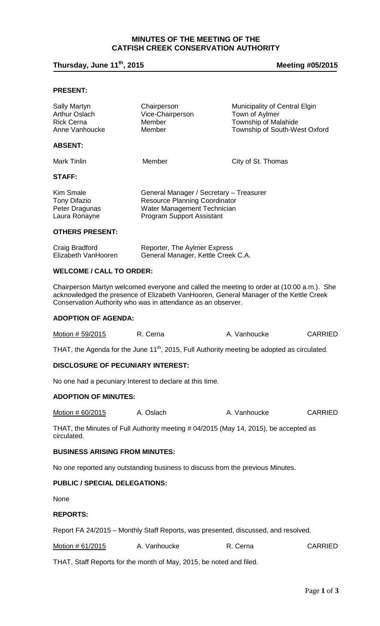# **MINUTES OF THE MEETING OF THE CATFISH CREEK CONSERVATION AUTHORITY**

# **Thursday, June 11th, 2015 Meeting #05/2015**

## **PRESENT:**

| <b>Sally Martyn</b><br><b>Arthur Oslach</b><br><b>Rick Cerna</b> | Chairperson<br>Vice-Chairperson<br>Member | Municipality of Central Elgin<br>Town of Aylmer<br>Township of Malahide |
|------------------------------------------------------------------|-------------------------------------------|-------------------------------------------------------------------------|
| Anne Vanhoucke                                                   | Member                                    | Township of South-West Oxford                                           |
| <b>ABSENT:</b>                                                   |                                           |                                                                         |
| Mark Tinlin                                                      | Member                                    | City of St. Thomas                                                      |
| <b>STAFF:</b>                                                    |                                           |                                                                         |
| Kim Smale                                                        | General Manager / Secretary - Treasurer   |                                                                         |

| Kim Smale      | General Manager / Secretary – Treasurer |
|----------------|-----------------------------------------|
| Tony Difazio   | <b>Resource Planning Coordinator</b>    |
| Peter Dragunas | Water Management Technician             |
| Laura Ronayne  | <b>Program Support Assistant</b>        |

#### **OTHERS PRESENT:**

| Craig Bradford      | Reporter, The Aylmer Express       |
|---------------------|------------------------------------|
| Elizabeth VanHooren | General Manager, Kettle Creek C.A. |

## **WELCOME / CALL TO ORDER:**

Chairperson Martyn welcomed everyone and called the meeting to order at (10:00 a.m.). She acknowledged the presence of Elizabeth VanHooren, General Manager of the Kettle Creek Conservation Authority who was in attendance as an observer.

#### **ADOPTION OF AGENDA:**

| Motion # 59/2015 | R. Cerna | A. Vanhoucke | <b>CARRIED</b> |
|------------------|----------|--------------|----------------|
|------------------|----------|--------------|----------------|

THAT, the Agenda for the June  $11<sup>th</sup>$ , 2015, Full Authority meeting be adopted as circulated.

## **DISCLOSURE OF PECUNIARY INTEREST:**

No one had a pecuniary Interest to declare at this time.

## **ADOPTION OF MINUTES:**

Motion # 60/2015 A. Oslach A. Vanhoucke CARRIED

THAT, the Minutes of Full Authority meeting # 04/2015 (May 14, 2015), be accepted as circulated.

#### **BUSINESS ARISING FROM MINUTES:**

No one reported any outstanding business to discuss from the previous Minutes.

## **PUBLIC / SPECIAL DELEGATIONS:**

None

## **REPORTS:**

Report FA 24/2015 – Monthly Staff Reports, was presented, discussed, and resolved.

| Motion # 61/2015 | A. Vanhoucke | R. Cerna | <b>CARRIED</b> |
|------------------|--------------|----------|----------------|
|------------------|--------------|----------|----------------|

THAT, Staff Reports for the month of May, 2015, be noted and filed.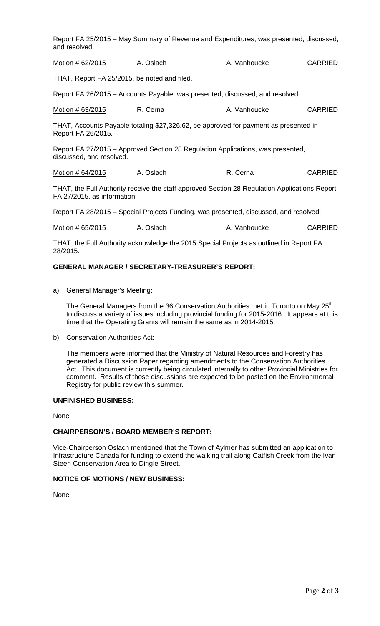| and resolved.                                | Report FA 25/2015 - May Summary of Revenue and Expenditures, was presented, discussed,        |              |                |
|----------------------------------------------|-----------------------------------------------------------------------------------------------|--------------|----------------|
| Motion # 62/2015                             | A. Oslach                                                                                     | A. Vanhoucke | <b>CARRIED</b> |
| THAT, Report FA 25/2015, be noted and filed. |                                                                                               |              |                |
|                                              | Report FA 26/2015 - Accounts Payable, was presented, discussed, and resolved.                 |              |                |
| Motion # 63/2015                             | R. Cerna                                                                                      | A. Vanhoucke | <b>CARRIED</b> |
| Report FA 26/2015.                           | THAT, Accounts Payable totaling \$27,326.62, be approved for payment as presented in          |              |                |
| discussed, and resolved.                     | Report FA 27/2015 – Approved Section 28 Regulation Applications, was presented,               |              |                |
| <u>Motion # 64/2015</u>                      | A. Oslach                                                                                     | R. Cerna     | <b>CARRIED</b> |
| FA 27/2015, as information.                  | THAT, the Full Authority receive the staff approved Section 28 Regulation Applications Report |              |                |
|                                              | Report FA 28/2015 – Special Projects Funding, was presented, discussed, and resolved.         |              |                |
| Motion # 65/2015                             | A. Oslach                                                                                     | A. Vanhoucke | <b>CARRIED</b> |

THAT, the Full Authority acknowledge the 2015 Special Projects as outlined in Report FA 28/2015.

## **GENERAL MANAGER / SECRETARY-TREASURER'S REPORT:**

a) General Manager's Meeting:

The General Managers from the 36 Conservation Authorities met in Toronto on May 25<sup>th</sup> to discuss a variety of issues including provincial funding for 2015-2016. It appears at this time that the Operating Grants will remain the same as in 2014-2015.

b) Conservation Authorities Act:

The members were informed that the Ministry of Natural Resources and Forestry has generated a Discussion Paper regarding amendments to the Conservation Authorities Act. This document is currently being circulated internally to other Provincial Ministries for comment. Results of those discussions are expected to be posted on the Environmental Registry for public review this summer.

## **UNFINISHED BUSINESS:**

None

## **CHAIRPERSON'S / BOARD MEMBER'S REPORT:**

Vice-Chairperson Oslach mentioned that the Town of Aylmer has submitted an application to Infrastructure Canada for funding to extend the walking trail along Catfish Creek from the Ivan Steen Conservation Area to Dingle Street.

## **NOTICE OF MOTIONS / NEW BUSINESS:**

None